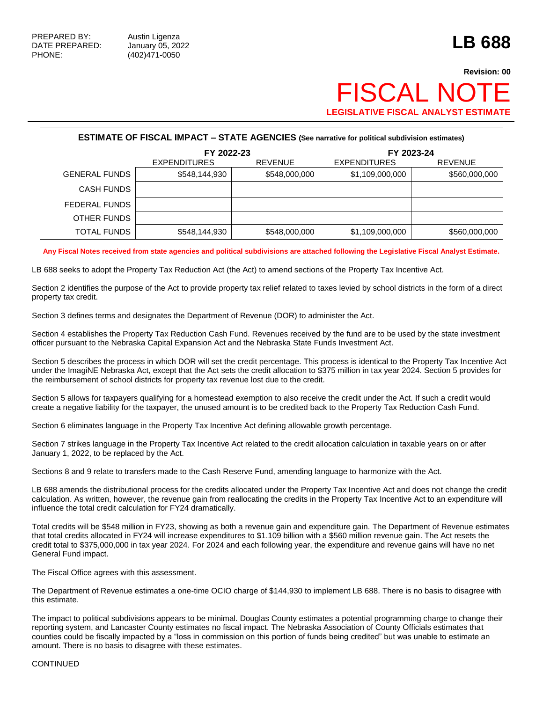# **Revision: 00** FISCAL NOT **LEGISLATIVE FISCAL ANALYST ESTIMATE**

| <b>ESTIMATE OF FISCAL IMPACT - STATE AGENCIES (See narrative for political subdivision estimates)</b> |                     |                |                     |                |  |  |  |
|-------------------------------------------------------------------------------------------------------|---------------------|----------------|---------------------|----------------|--|--|--|
|                                                                                                       | FY 2022-23          |                |                     | FY 2023-24     |  |  |  |
|                                                                                                       | <b>EXPENDITURES</b> | <b>REVENUE</b> | <b>EXPENDITURES</b> | <b>REVENUE</b> |  |  |  |
| <b>GENERAL FUNDS</b>                                                                                  | \$548,144,930       | \$548,000,000  | \$1,109,000,000     | \$560,000,000  |  |  |  |
| <b>CASH FUNDS</b>                                                                                     |                     |                |                     |                |  |  |  |
| FEDERAL FUNDS                                                                                         |                     |                |                     |                |  |  |  |
| OTHER FUNDS                                                                                           |                     |                |                     |                |  |  |  |
| <b>TOTAL FUNDS</b>                                                                                    | \$548,144,930       | \$548,000,000  | \$1,109,000,000     | \$560,000,000  |  |  |  |

**Any Fiscal Notes received from state agencies and political subdivisions are attached following the Legislative Fiscal Analyst Estimate.**

LB 688 seeks to adopt the Property Tax Reduction Act (the Act) to amend sections of the Property Tax Incentive Act.

Section 2 identifies the purpose of the Act to provide property tax relief related to taxes levied by school districts in the form of a direct property tax credit.

Section 3 defines terms and designates the Department of Revenue (DOR) to administer the Act.

Section 4 establishes the Property Tax Reduction Cash Fund. Revenues received by the fund are to be used by the state investment officer pursuant to the Nebraska Capital Expansion Act and the Nebraska State Funds Investment Act.

Section 5 describes the process in which DOR will set the credit percentage. This process is identical to the Property Tax Incentive Act under the ImagiNE Nebraska Act, except that the Act sets the credit allocation to \$375 million in tax year 2024. Section 5 provides for the reimbursement of school districts for property tax revenue lost due to the credit.

Section 5 allows for taxpayers qualifying for a homestead exemption to also receive the credit under the Act. If such a credit would create a negative liability for the taxpayer, the unused amount is to be credited back to the Property Tax Reduction Cash Fund.

Section 6 eliminates language in the Property Tax Incentive Act defining allowable growth percentage.

Section 7 strikes language in the Property Tax Incentive Act related to the credit allocation calculation in taxable years on or after January 1, 2022, to be replaced by the Act.

Sections 8 and 9 relate to transfers made to the Cash Reserve Fund, amending language to harmonize with the Act.

LB 688 amends the distributional process for the credits allocated under the Property Tax Incentive Act and does not change the credit calculation. As written, however, the revenue gain from reallocating the credits in the Property Tax Incentive Act to an expenditure will influence the total credit calculation for FY24 dramatically.

Total credits will be \$548 million in FY23, showing as both a revenue gain and expenditure gain. The Department of Revenue estimates that total credits allocated in FY24 will increase expenditures to \$1.109 billion with a \$560 million revenue gain. The Act resets the credit total to \$375,000,000 in tax year 2024. For 2024 and each following year, the expenditure and revenue gains will have no net General Fund impact.

The Fiscal Office agrees with this assessment.

The Department of Revenue estimates a one-time OCIO charge of \$144,930 to implement LB 688. There is no basis to disagree with this estimate.

The impact to political subdivisions appears to be minimal. Douglas County estimates a potential programming charge to change their reporting system, and Lancaster County estimates no fiscal impact. The Nebraska Association of County Officials estimates that counties could be fiscally impacted by a "loss in commission on this portion of funds being credited" but was unable to estimate an amount. There is no basis to disagree with these estimates.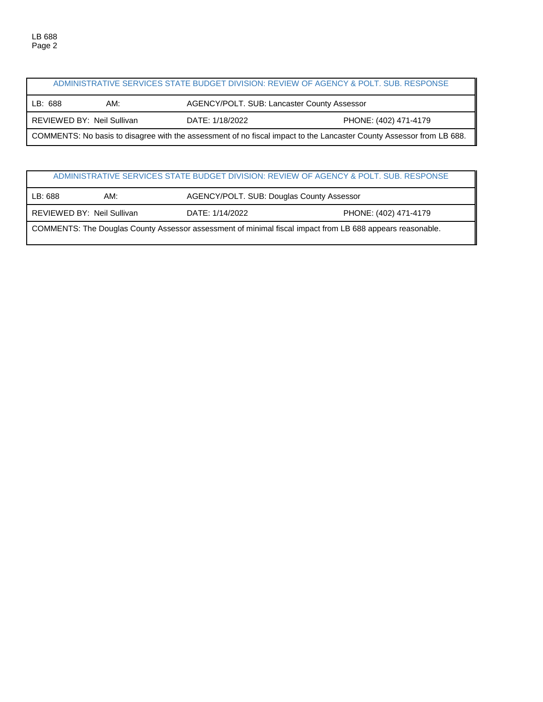|                                                                                                                      |                            |                                             | ADMINISTRATIVE SERVICES STATE BUDGET DIVISION: REVIEW OF AGENCY & POLT. SUB. RESPONSE |  |
|----------------------------------------------------------------------------------------------------------------------|----------------------------|---------------------------------------------|---------------------------------------------------------------------------------------|--|
| LB: 688                                                                                                              | AM:                        | AGENCY/POLT. SUB: Lancaster County Assessor |                                                                                       |  |
|                                                                                                                      | REVIEWED BY: Neil Sullivan | DATE: 1/18/2022                             | PHONE: (402) 471-4179                                                                 |  |
| COMMENTS: No basis to disagree with the assessment of no fiscal impact to the Lancaster County Assessor from LB 688. |                            |                                             |                                                                                       |  |

### ADMINISTRATIVE SERVICES STATE BUDGET DIVISION: REVIEW OF AGENCY & POLT. SUB. RESPONSE

| LB: 688                                                                                                   | AM:                        |                 | AGENCY/POLT. SUB: Douglas County Assessor |  |  |
|-----------------------------------------------------------------------------------------------------------|----------------------------|-----------------|-------------------------------------------|--|--|
|                                                                                                           | REVIEWED BY: Neil Sullivan | DATE: 1/14/2022 | PHONE: (402) 471-4179                     |  |  |
| COMMENTS: The Douglas County Assessor assessment of minimal fiscal impact from LB 688 appears reasonable. |                            |                 |                                           |  |  |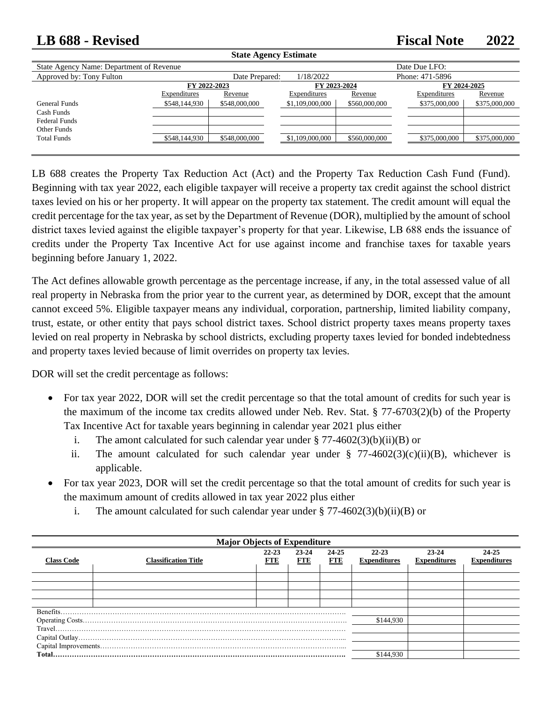## **LB 688 - Revised Fiscal Note 2022**

| <b>State Agency Estimate</b>                        |                              |                |                              |               |                              |               |
|-----------------------------------------------------|------------------------------|----------------|------------------------------|---------------|------------------------------|---------------|
| State Agency Name: Department of Revenue            |                              |                |                              |               | Date Due LFO:                |               |
| Approved by: Tony Fulton                            |                              | Date Prepared: | 1/18/2022                    |               | Phone: 471-5896              |               |
|                                                     | FY 2022-2023<br>Expenditures | Revenue        | FY 2023-2024<br>Expenditures | Revenue       | FY 2024-2025<br>Expenditures | Revenue       |
| General Funds<br>Cash Funds<br><b>Federal Funds</b> | \$548,144,930                | \$548,000,000  | \$1,109,000,000              | \$560,000,000 | \$375,000,000                | \$375,000,000 |
| Other Funds<br><b>Total Funds</b>                   | \$548,144,930                | \$548,000,000  | \$1,109,000,000              | \$560,000,000 | \$375,000,000                | \$375,000,000 |

LB 688 creates the Property Tax Reduction Act (Act) and the Property Tax Reduction Cash Fund (Fund). Beginning with tax year 2022, each eligible taxpayer will receive a property tax credit against the school district taxes levied on his or her property. It will appear on the property tax statement. The credit amount will equal the credit percentage for the tax year, as set by the Department of Revenue (DOR), multiplied by the amount of school district taxes levied against the eligible taxpayer's property for that year. Likewise, LB 688 ends the issuance of credits under the Property Tax Incentive Act for use against income and franchise taxes for taxable years beginning before January 1, 2022.

The Act defines allowable growth percentage as the percentage increase, if any, in the total assessed value of all real property in Nebraska from the prior year to the current year, as determined by DOR, except that the amount cannot exceed 5%. Eligible taxpayer means any individual, corporation, partnership, limited liability company, trust, estate, or other entity that pays school district taxes. School district property taxes means property taxes levied on real property in Nebraska by school districts, excluding property taxes levied for bonded indebtedness and property taxes levied because of limit overrides on property tax levies.

DOR will set the credit percentage as follows:

- For tax year 2022, DOR will set the credit percentage so that the total amount of credits for such year is the maximum of the income tax credits allowed under Neb. Rev. Stat. § 77-6703(2)(b) of the Property Tax Incentive Act for taxable years beginning in calendar year 2021 plus either
	- i. The amont calculated for such calendar year under  $\S 77-4602(3)(b)(ii)(B)$  or
	- ii. The amount calculated for such calendar year under  $\frac{8}{3}$  77-4602(3)(c)(ii)(B), whichever is applicable.
- For tax year 2023, DOR will set the credit percentage so that the total amount of credits for such year is the maximum amount of credits allowed in tax year 2022 plus either
	- i. The amount calculated for such calendar year under  $\S 77-4602(3)(b)(ii)(B)$  or

| <b>Major Objects of Expenditure</b> |                             |                         |                     |                     |                              |                              |                              |  |
|-------------------------------------|-----------------------------|-------------------------|---------------------|---------------------|------------------------------|------------------------------|------------------------------|--|
| <b>Class Code</b>                   | <b>Classification Title</b> | $22 - 23$<br><b>FTE</b> | 23-24<br><b>FTE</b> | 24-25<br><b>FTE</b> | 22-23<br><b>Expenditures</b> | 23-24<br><b>Expenditures</b> | 24-25<br><b>Expenditures</b> |  |
|                                     |                             |                         |                     |                     |                              |                              |                              |  |
|                                     |                             |                         |                     |                     |                              |                              |                              |  |
|                                     |                             |                         |                     |                     |                              |                              |                              |  |
|                                     |                             |                         |                     |                     |                              |                              |                              |  |
|                                     |                             |                         |                     |                     |                              |                              |                              |  |
|                                     |                             |                         |                     |                     | \$144,930                    |                              |                              |  |
|                                     |                             |                         |                     |                     |                              |                              |                              |  |
|                                     |                             |                         |                     |                     |                              |                              |                              |  |
|                                     |                             |                         |                     |                     |                              |                              |                              |  |
|                                     |                             |                         |                     |                     | \$144.930                    |                              |                              |  |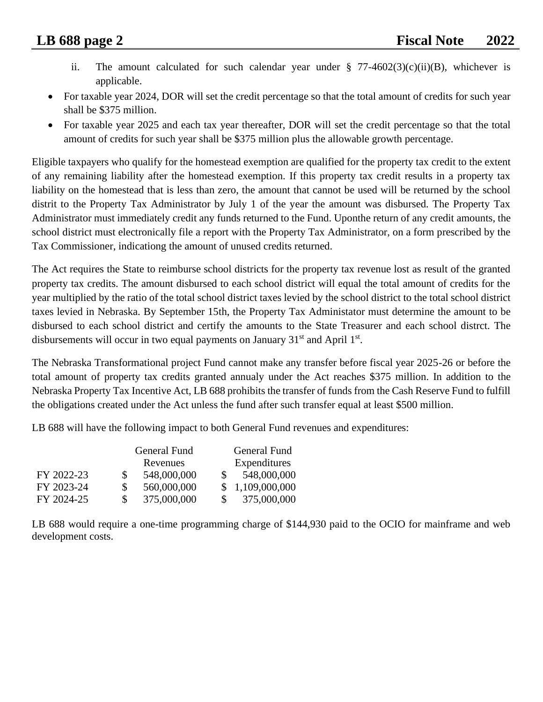- ii. The amount calculated for such calendar year under  $\S$  77-4602(3)(c)(ii)(B), whichever is applicable.
- For taxable year 2024, DOR will set the credit percentage so that the total amount of credits for such year shall be \$375 million.
- For taxable year 2025 and each tax year thereafter, DOR will set the credit percentage so that the total amount of credits for such year shall be \$375 million plus the allowable growth percentage.

Eligible taxpayers who qualify for the homestead exemption are qualified for the property tax credit to the extent of any remaining liability after the homestead exemption. If this property tax credit results in a property tax liability on the homestead that is less than zero, the amount that cannot be used will be returned by the school distrit to the Property Tax Administrator by July 1 of the year the amount was disbursed. The Property Tax Administrator must immediately credit any funds returned to the Fund. Uponthe return of any credit amounts, the school district must electronically file a report with the Property Tax Administrator, on a form prescribed by the Tax Commissioner, indicationg the amount of unused credits returned.

The Act requires the State to reimburse school districts for the property tax revenue lost as result of the granted property tax credits. The amount disbursed to each school district will equal the total amount of credits for the year multiplied by the ratio of the total school district taxes levied by the school district to the total school district taxes levied in Nebraska. By September 15th, the Property Tax Administator must determine the amount to be disbursed to each school district and certify the amounts to the State Treasurer and each school distrct. The disbursements will occur in two equal payments on January  $31<sup>st</sup>$  and April  $1<sup>st</sup>$ .

The Nebraska Transformational project Fund cannot make any transfer before fiscal year 2025-26 or before the total amount of property tax credits granted annualy under the Act reaches \$375 million. In addition to the Nebraska Property Tax Incentive Act, LB 688 prohibits the transfer of funds from the Cash Reserve Fund to fulfill the obligations created under the Act unless the fund after such transfer equal at least \$500 million.

LB 688 will have the following impact to both General Fund revenues and expenditures:

|            |     | General Fund |    | General Fund    |
|------------|-----|--------------|----|-----------------|
|            |     | Revenues     |    | Expenditures    |
| FY 2022-23 | S.  | 548,000,000  |    | 548,000,000     |
| FY 2023-24 | \$. | 560,000,000  |    | \$1,109,000,000 |
| FY 2024-25 |     | 375,000,000  | S. | 375,000,000     |

LB 688 would require a one-time programming charge of \$144,930 paid to the OCIO for mainframe and web development costs.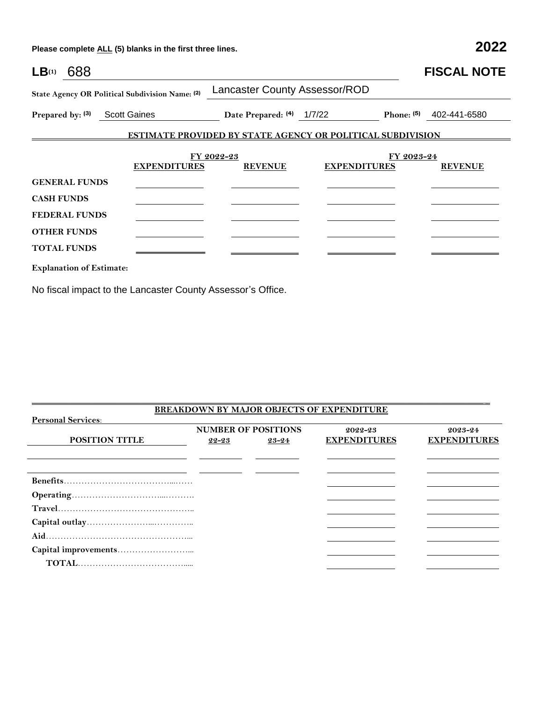**Please complete ALL (5) blanks in the first three lines. 2022**

| LB <sub>(1)</sub> 688           |                                                 |                                                                   |                     |            | <b>FISCAL NOTE</b>        |
|---------------------------------|-------------------------------------------------|-------------------------------------------------------------------|---------------------|------------|---------------------------|
|                                 | State Agency OR Political Subdivision Name: (2) | Lancaster County Assessor/ROD                                     |                     |            |                           |
|                                 | Prepared by: (3) Scott Gaines                   | Date Prepared: $(4)$ 1/7/22                                       |                     |            | Phone: $(5)$ 402-441-6580 |
|                                 |                                                 | <b>ESTIMATE PROVIDED BY STATE AGENCY OR POLITICAL SUBDIVISION</b> |                     |            |                           |
|                                 | <b>EXPENDITURES</b>                             | FY 2022-23<br><b>REVENUE</b>                                      | <b>EXPENDITURES</b> | FY 2023-24 | <b>REVENUE</b>            |
| <b>GENERAL FUNDS</b>            |                                                 |                                                                   |                     |            |                           |
| <b>CASH FUNDS</b>               |                                                 |                                                                   |                     |            |                           |
| <b>FEDERAL FUNDS</b>            |                                                 |                                                                   |                     |            |                           |
| <b>OTHER FUNDS</b>              |                                                 |                                                                   |                     |            |                           |
| <b>TOTAL FUNDS</b>              |                                                 |                                                                   |                     |            |                           |
| <b>Explanation of Estimate:</b> |                                                 |                                                                   |                     |            |                           |

No fiscal impact to the Lancaster County Assessor's Office.

|                           |                            |       | BREAKDOWN BY MAJOR OBJECTS OF EXPENDITURE |                     |
|---------------------------|----------------------------|-------|-------------------------------------------|---------------------|
| <b>Personal Services:</b> |                            |       |                                           |                     |
|                           | <b>NUMBER OF POSITIONS</b> |       | 2022-23                                   | $2023 - 24$         |
| <b>POSITION TITLE</b>     | 22-23                      | 23-24 | <b>EXPENDITURES</b>                       | <b>EXPENDITURES</b> |
|                           |                            |       |                                           |                     |
|                           |                            |       |                                           |                     |
|                           |                            |       |                                           |                     |
|                           |                            |       |                                           |                     |
|                           |                            |       |                                           |                     |
|                           |                            |       |                                           |                     |
|                           |                            |       |                                           |                     |
|                           |                            |       |                                           |                     |
|                           |                            |       |                                           |                     |
|                           |                            |       |                                           |                     |
|                           |                            |       |                                           |                     |

\_\_\_\_\_\_\_\_\_\_\_\_\_\_\_\_\_\_\_\_\_\_\_\_\_\_\_\_\_\_\_\_\_\_\_\_\_\_\_\_\_\_\_\_\_\_\_\_\_\_\_\_\_\_\_\_\_\_\_\_\_\_\_\_\_\_\_\_\_\_\_\_\_\_\_\_\_\_\_\_\_\_\_\_\_\_\_\_\_\_\_\_\_\_\_\_\_\_\_\_\_ \_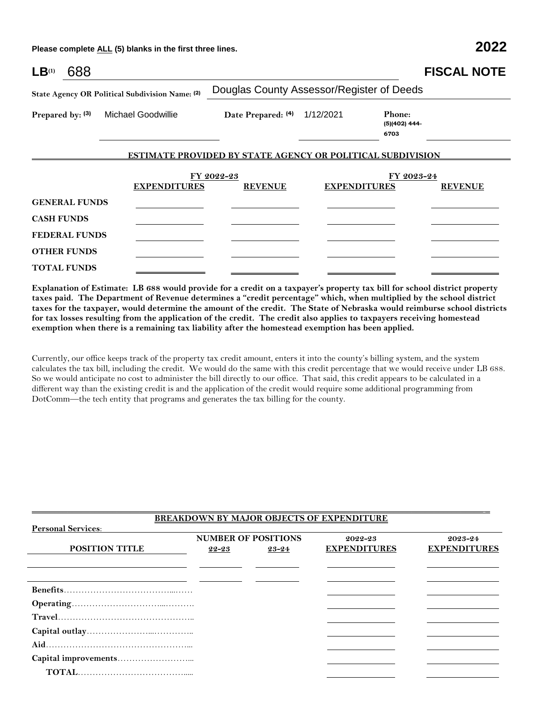**Please complete ALL (5) blanks in the first three lines. 2022**

| LB <sup>(1)</sup>    | 688 |                                                 |                                                            |                     |                                   | <b>FISCAL NOTE</b> |
|----------------------|-----|-------------------------------------------------|------------------------------------------------------------|---------------------|-----------------------------------|--------------------|
|                      |     | State Agency OR Political Subdivision Name: (2) | Douglas County Assessor/Register of Deeds                  |                     |                                   |                    |
| Prepared by: (3)     |     | <b>Michael Goodwillie</b>                       | Date Prepared: (4)                                         | 1/12/2021           | Phone:<br>$(5)(402)$ 444-<br>6703 |                    |
|                      |     |                                                 | ESTIMATE PROVIDED BY STATE AGENCY OR POLITICAL SUBDIVISION |                     |                                   |                    |
|                      |     | <b>EXPENDITURES</b>                             | FY 2022-23<br><b>REVENUE</b>                               | <b>EXPENDITURES</b> | FY 2023-24                        | <b>REVENUE</b>     |
| <b>GENERAL FUNDS</b> |     |                                                 |                                                            |                     |                                   |                    |
| <b>CASH FUNDS</b>    |     |                                                 |                                                            |                     |                                   |                    |
| <b>FEDERAL FUNDS</b> |     |                                                 |                                                            |                     |                                   |                    |
| <b>OTHER FUNDS</b>   |     |                                                 |                                                            |                     |                                   |                    |
| <b>TOTAL FUNDS</b>   |     |                                                 |                                                            |                     |                                   |                    |

**Explanation of Estimate: LB 688 would provide for a credit on a taxpayer's property tax bill for school district property taxes paid. The Department of Revenue determines a "credit percentage" which, when multiplied by the school district taxes for the taxpayer, would determine the amount of the credit. The State of Nebraska would reimburse school districts for tax losses resulting from the application of the credit. The credit also applies to taxpayers receiving homestead exemption when there is a remaining tax liability after the homestead exemption has been applied.** 

Currently, our office keeps track of the property tax credit amount, enters it into the county's billing system, and the system calculates the tax bill, including the credit. We would do the same with this credit percentage that we would receive under LB 688. So we would anticipate no cost to administer the bill directly to our office. That said, this credit appears to be calculated in a different way than the existing credit is and the application of the credit would require some additional programming from DotComm—the tech entity that programs and generates the tax billing for the county.

|                           |       |                            | <b>BREAKDOWN BY MAJOR OBJECTS OF EXPENDITURE</b> |                     |
|---------------------------|-------|----------------------------|--------------------------------------------------|---------------------|
| <b>Personal Services:</b> |       |                            |                                                  |                     |
|                           |       | <b>NUMBER OF POSITIONS</b> | 2022-23                                          | 2023-24             |
| <b>POSITION TITLE</b>     | 22-23 | 23-24                      | <b>EXPENDITURES</b>                              | <b>EXPENDITURES</b> |
|                           |       |                            |                                                  |                     |
|                           |       |                            |                                                  |                     |
|                           |       |                            |                                                  |                     |
|                           |       |                            |                                                  |                     |
|                           |       |                            |                                                  |                     |
|                           |       |                            |                                                  |                     |
|                           |       |                            |                                                  |                     |
|                           |       |                            |                                                  |                     |
|                           |       |                            |                                                  |                     |